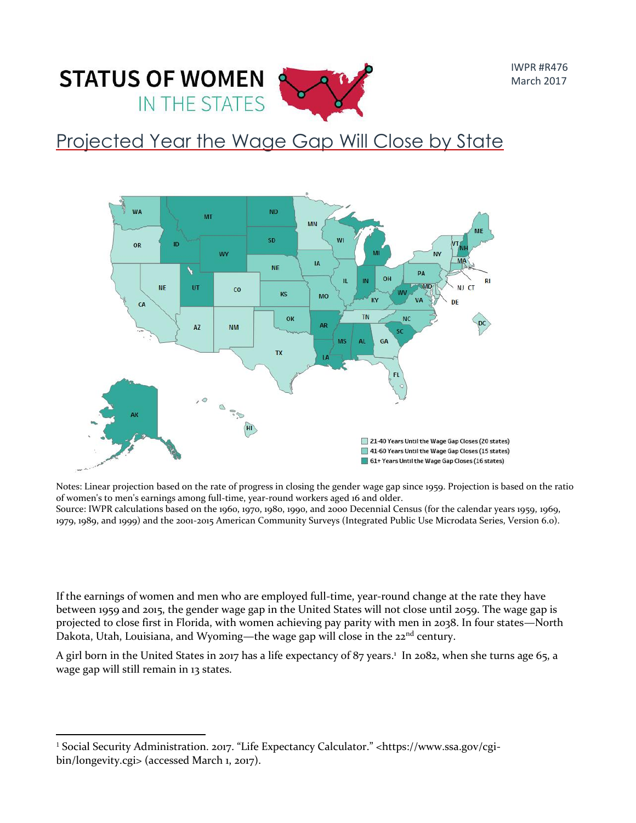

## Projected Year the Wage Gap Will Close by State



Notes: Linear projection based on the rate of progress in closing the gender wage gap since 1959. Projection is based on the ratio of women's to men's earnings among full-time, year-round workers aged 16 and older.

Source: IWPR calculations based on the 1960, 1970, 1980, 1990, and 2000 Decennial Census (for the calendar years 1959, 1969, 1979, 1989, and 1999) and the 2001-2015 American Community Surveys (Integrated Public Use Microdata Series, Version 6.0).

If the earnings of women and men who are employed full-time, year-round change at the rate they have between 1959 and 2015, the gender wage gap in the United States will not close until 2059. The wage gap is projected to close first in Florida, with women achieving pay parity with men in 2038. In four states—North Dakota, Utah, Louisiana, and Wyoming—the wage gap will close in the  $22<sup>nd</sup>$  century.

A girl born in the United States in 2017 has a life expectancy of 87 years.<sup>1</sup> In 2082, when she turns age 65, a wage gap will still remain in 13 states.

 $\overline{a}$ <sup>1</sup> Social Security Administration. 2017. "Life Expectancy Calculator." <https://www.ssa.gov/cgibin/longevity.cgi> (accessed March 1, 2017).